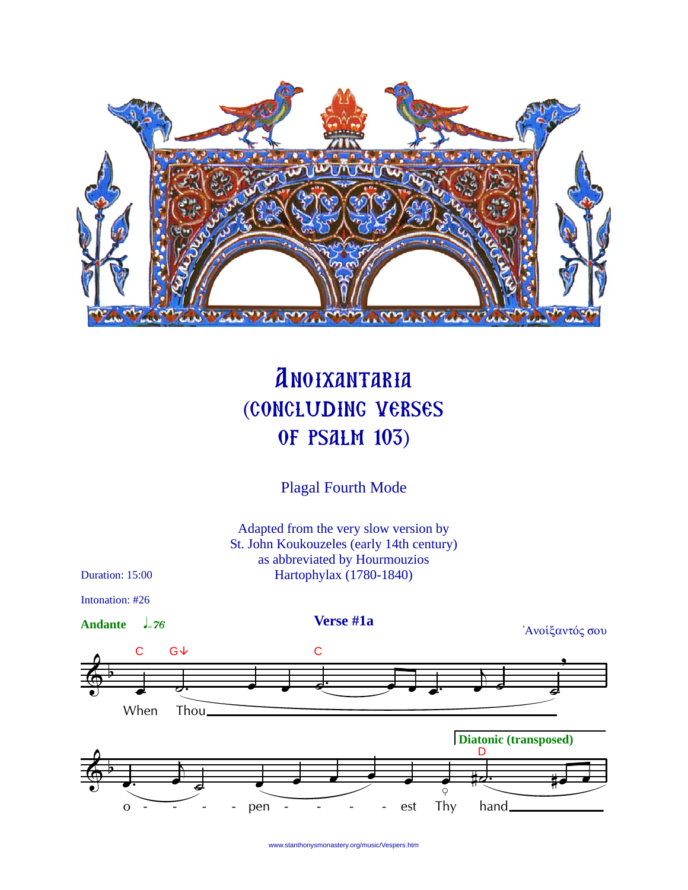

## **ANOIXANTARIA** (CONCLUDING VERSES **OF PSALM 103)**

**Plagal Fourth Mode** 

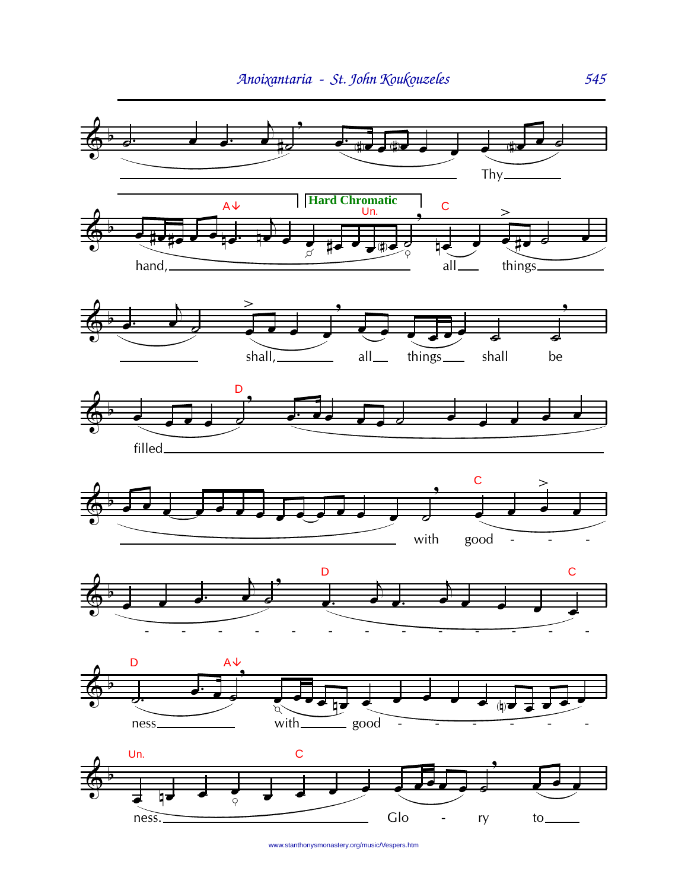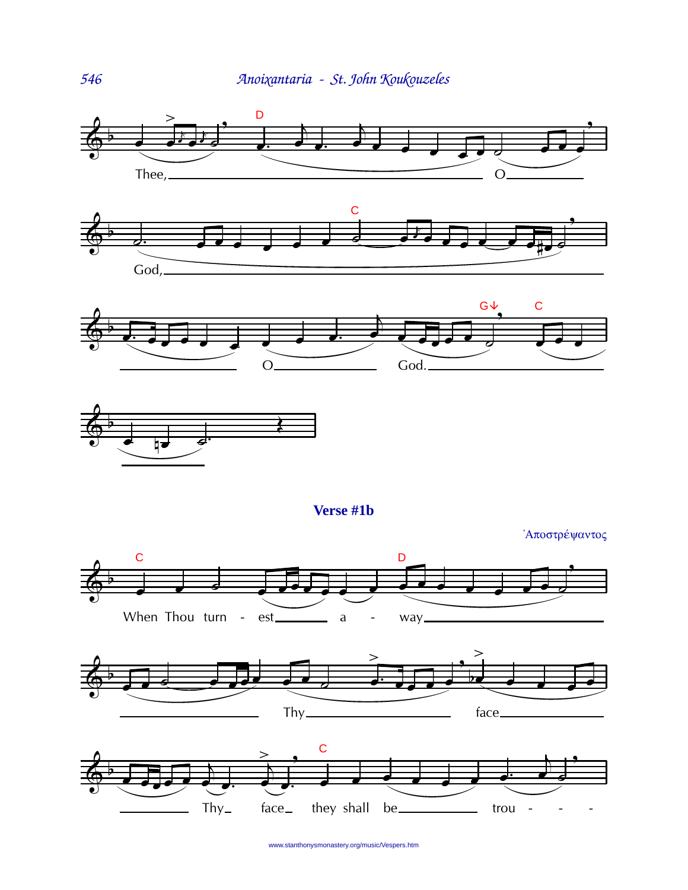







Verse #1b

'Αποστρέψαντος







www.stanthonysmonastery.org/music/Vespers.htm

546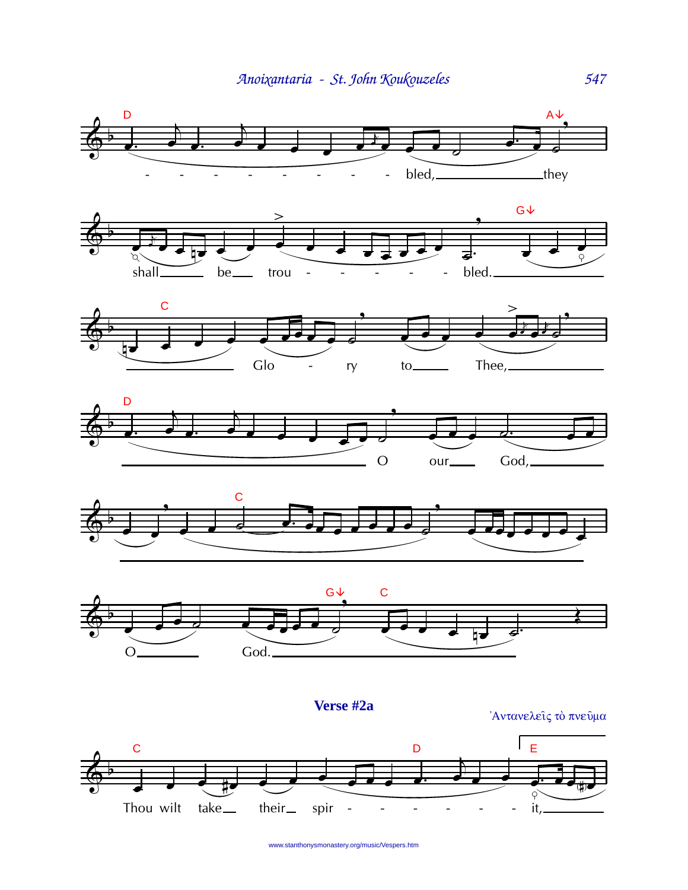













Αντανελείς το πνεύμα

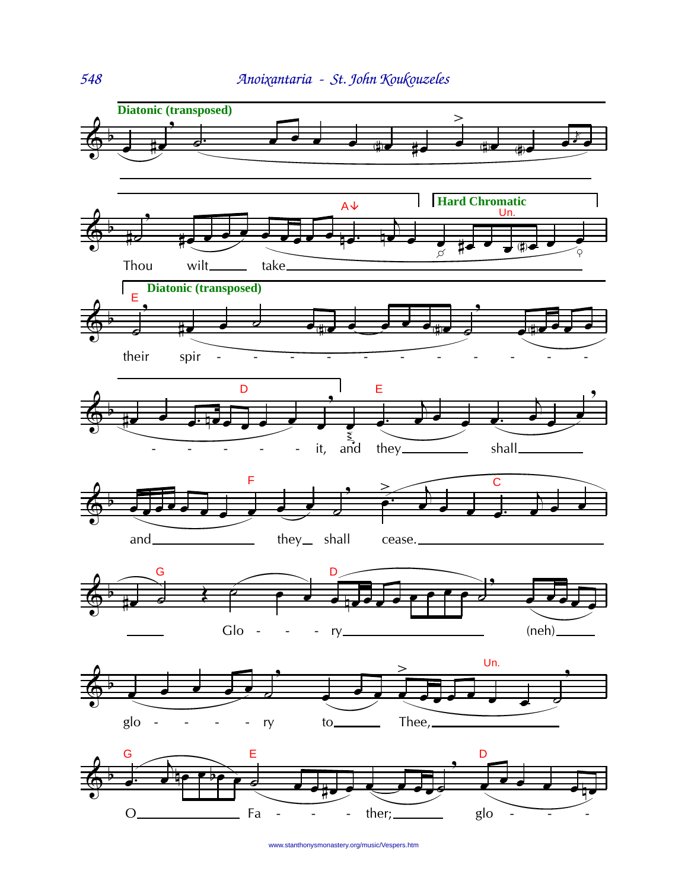

548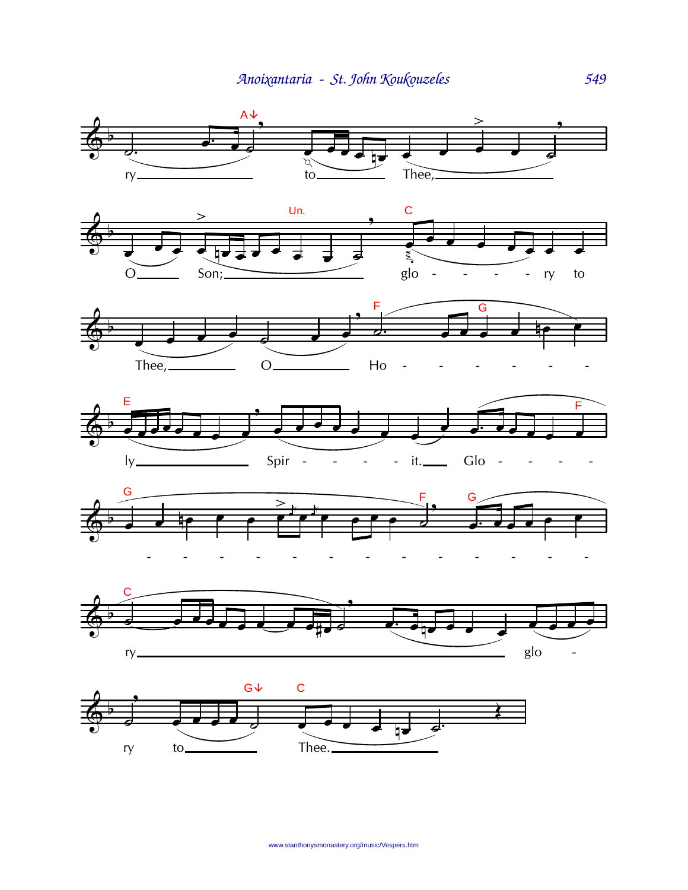![](_page_5_Figure_1.jpeg)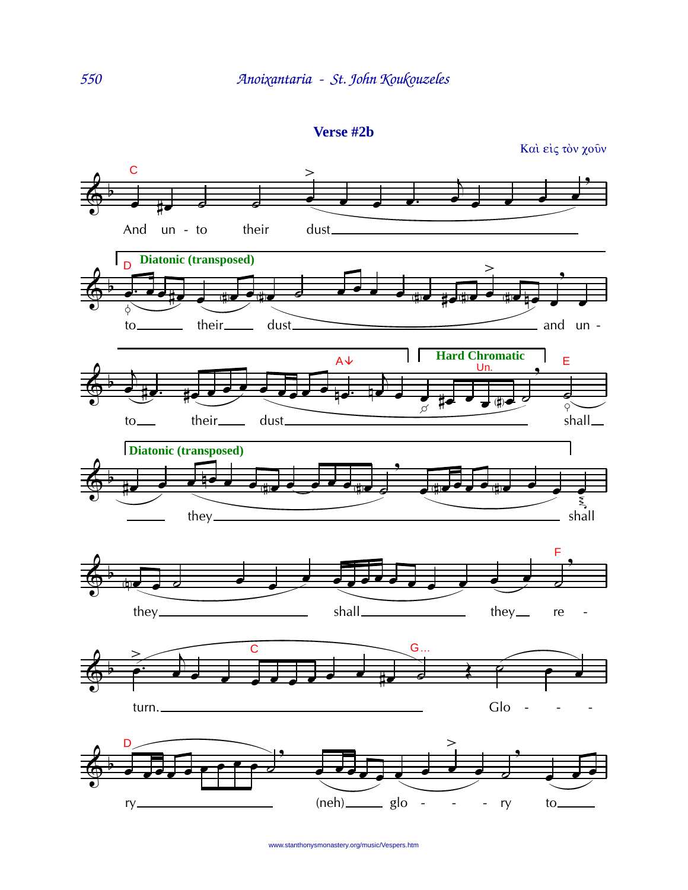Verse #2b

![](_page_6_Figure_2.jpeg)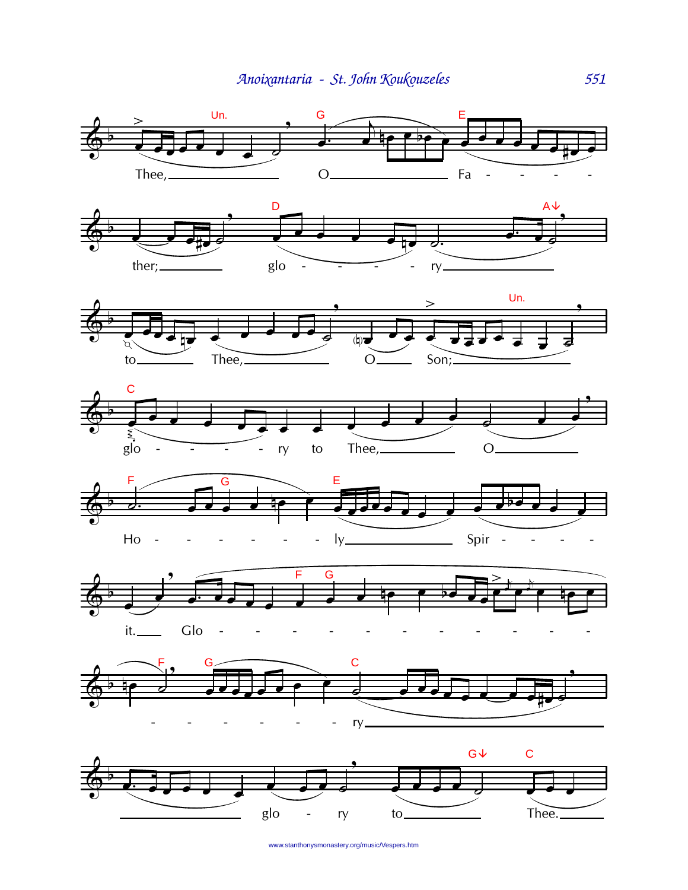![](_page_7_Figure_1.jpeg)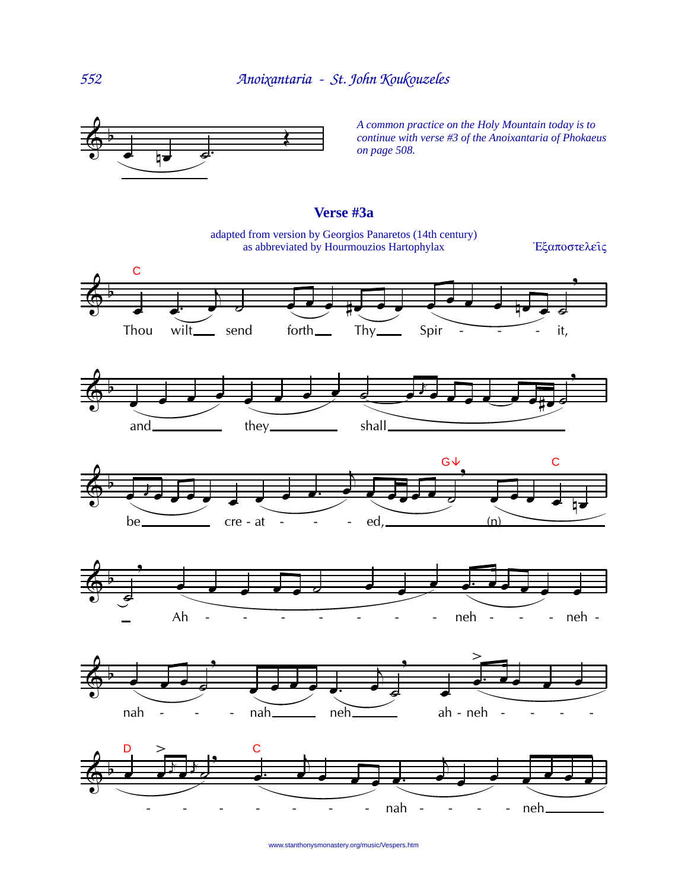![](_page_8_Figure_1.jpeg)

*A common practice on the Holy Mountain today is to continue with verse #3 of the Anoixantaria of Phokaeus on page 508.*

## **Verse #3a**

adapted from version by Georgios Panaretos (14th century) as abbreviated by Hourmouzios Hartophylax  $E\xi\alpha\pi\omega\sigma\tau\epsilon\lambda\epsilon\hat{i}\zeta$ 

![](_page_8_Figure_6.jpeg)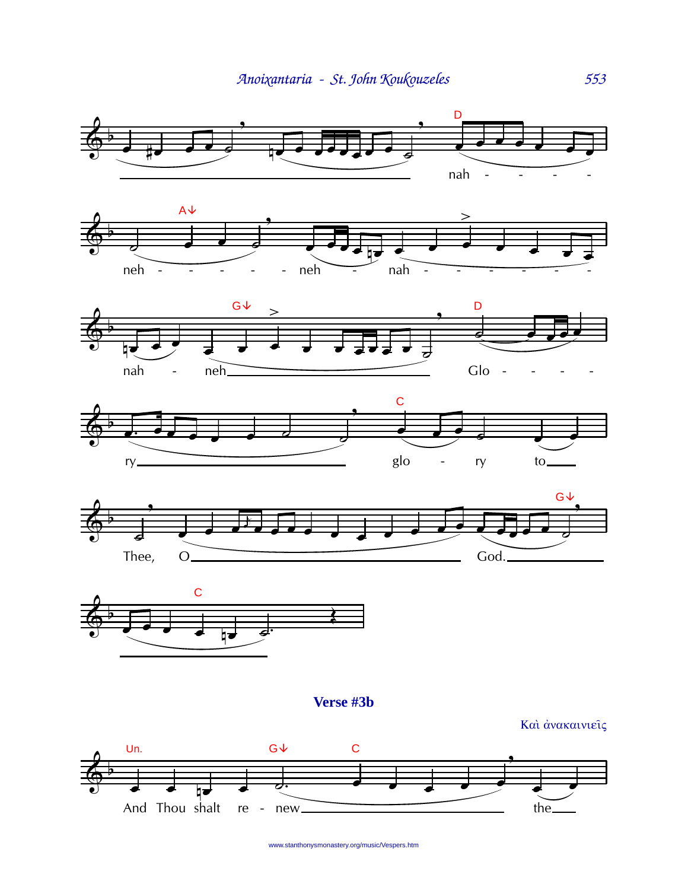![](_page_9_Figure_1.jpeg)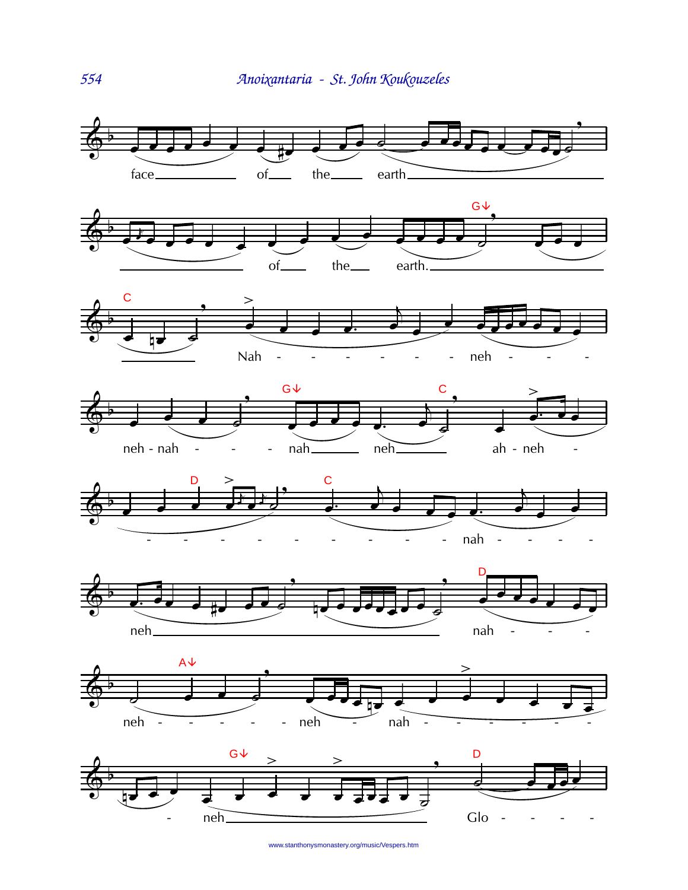![](_page_10_Figure_1.jpeg)